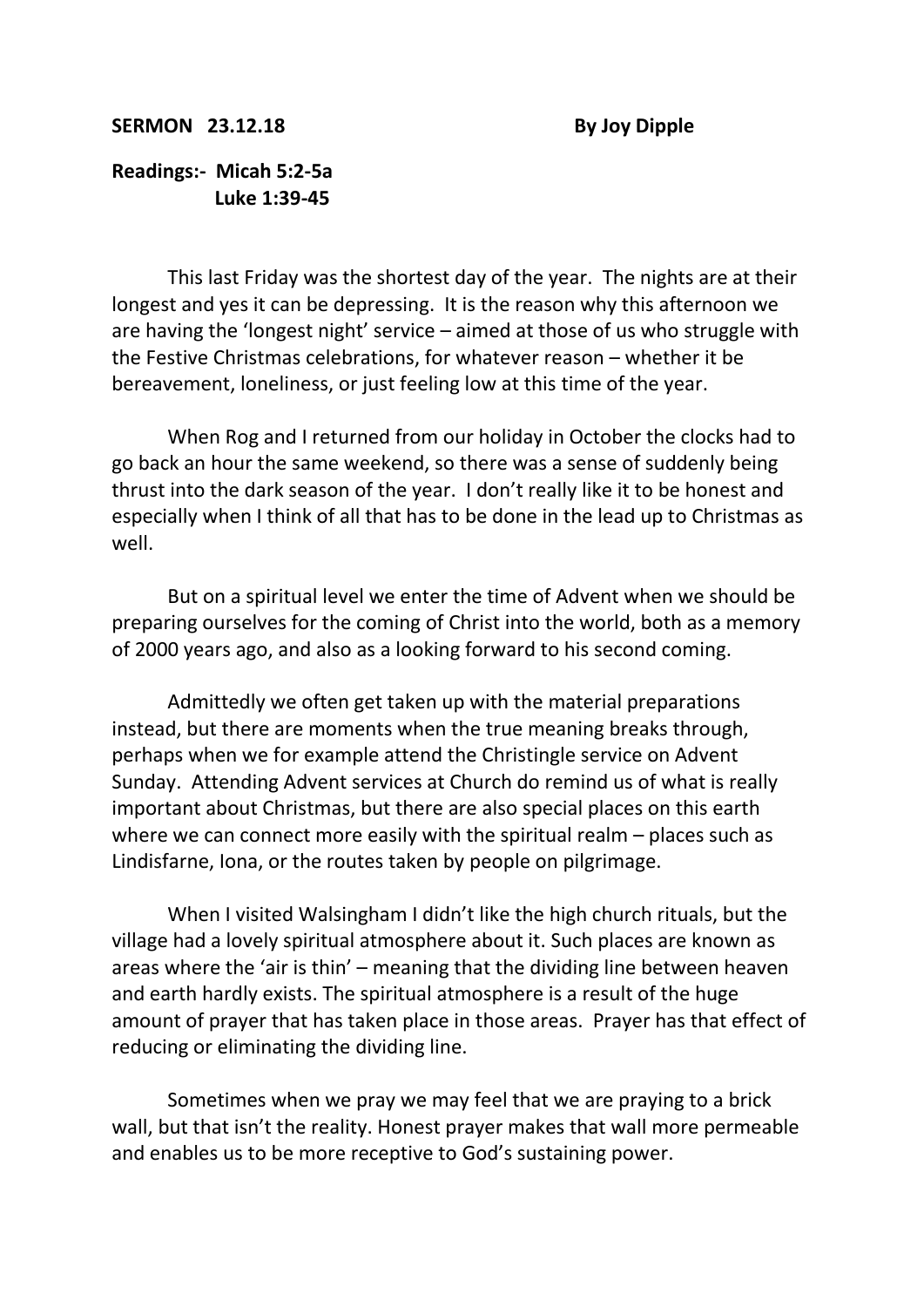## **SERMON 23.12.18** By Joy Dipple

## **Readings:- Micah 5:2-5a Luke 1:39-45**

This last Friday was the shortest day of the year. The nights are at their longest and yes it can be depressing. It is the reason why this afternoon we are having the 'longest night' service – aimed at those of us who struggle with the Festive Christmas celebrations, for whatever reason – whether it be bereavement, loneliness, or just feeling low at this time of the year.

When Rog and I returned from our holiday in October the clocks had to go back an hour the same weekend, so there was a sense of suddenly being thrust into the dark season of the year. I don't really like it to be honest and especially when I think of all that has to be done in the lead up to Christmas as well.

But on a spiritual level we enter the time of Advent when we should be preparing ourselves for the coming of Christ into the world, both as a memory of 2000 years ago, and also as a looking forward to his second coming.

Admittedly we often get taken up with the material preparations instead, but there are moments when the true meaning breaks through, perhaps when we for example attend the Christingle service on Advent Sunday. Attending Advent services at Church do remind us of what is really important about Christmas, but there are also special places on this earth where we can connect more easily with the spiritual realm – places such as Lindisfarne, Iona, or the routes taken by people on pilgrimage.

When I visited Walsingham I didn't like the high church rituals, but the village had a lovely spiritual atmosphere about it. Such places are known as areas where the 'air is thin' – meaning that the dividing line between heaven and earth hardly exists. The spiritual atmosphere is a result of the huge amount of prayer that has taken place in those areas. Prayer has that effect of reducing or eliminating the dividing line.

Sometimes when we pray we may feel that we are praying to a brick wall, but that isn't the reality. Honest prayer makes that wall more permeable and enables us to be more receptive to God's sustaining power.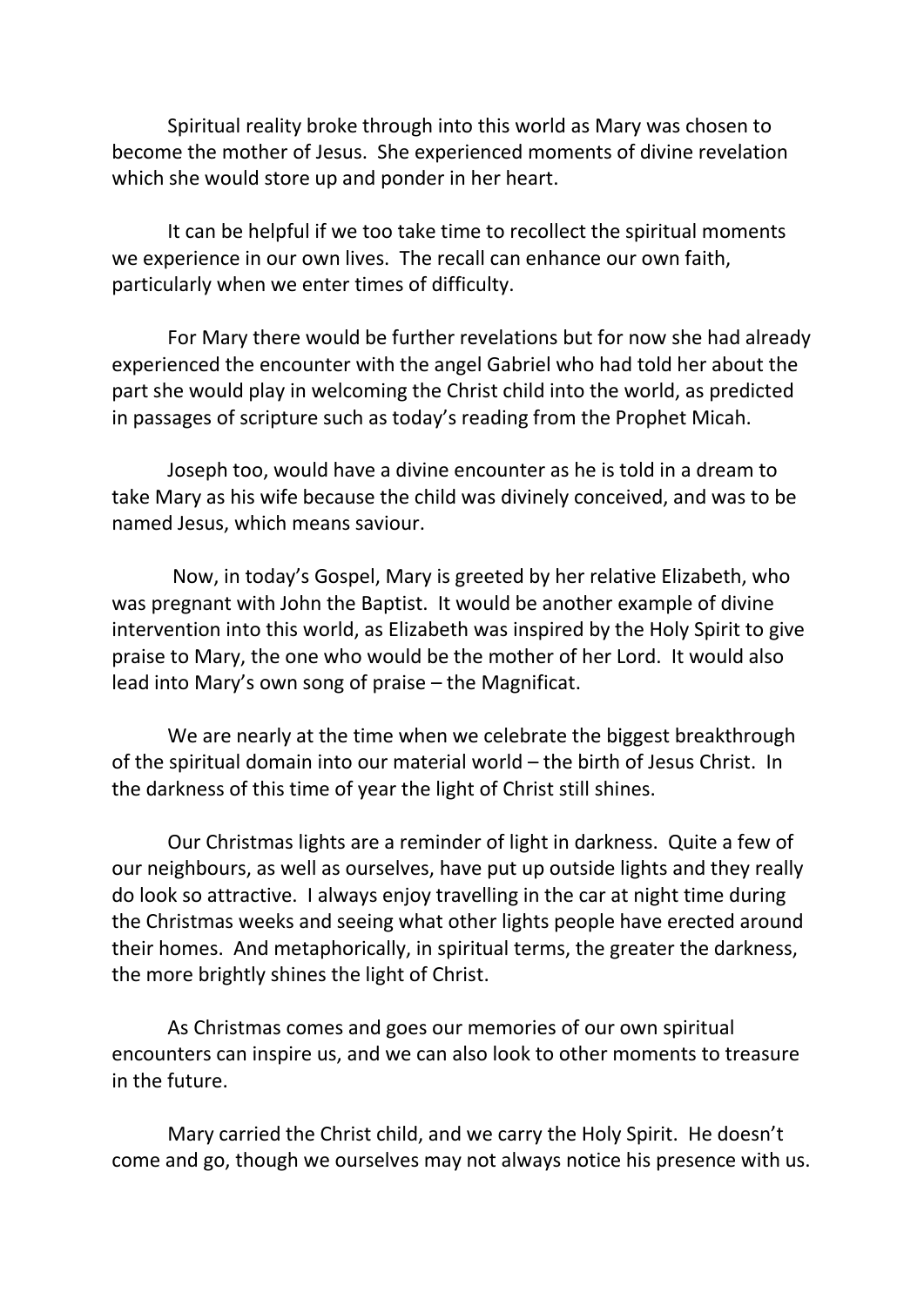Spiritual reality broke through into this world as Mary was chosen to become the mother of Jesus. She experienced moments of divine revelation which she would store up and ponder in her heart.

It can be helpful if we too take time to recollect the spiritual moments we experience in our own lives. The recall can enhance our own faith, particularly when we enter times of difficulty.

For Mary there would be further revelations but for now she had already experienced the encounter with the angel Gabriel who had told her about the part she would play in welcoming the Christ child into the world, as predicted in passages of scripture such as today's reading from the Prophet Micah.

Joseph too, would have a divine encounter as he is told in a dream to take Mary as his wife because the child was divinely conceived, and was to be named Jesus, which means saviour.

Now, in today's Gospel, Mary is greeted by her relative Elizabeth, who was pregnant with John the Baptist. It would be another example of divine intervention into this world, as Elizabeth was inspired by the Holy Spirit to give praise to Mary, the one who would be the mother of her Lord. It would also lead into Mary's own song of praise – the Magnificat.

We are nearly at the time when we celebrate the biggest breakthrough of the spiritual domain into our material world – the birth of Jesus Christ. In the darkness of this time of year the light of Christ still shines.

Our Christmas lights are a reminder of light in darkness. Quite a few of our neighbours, as well as ourselves, have put up outside lights and they really do look so attractive. I always enjoy travelling in the car at night time during the Christmas weeks and seeing what other lights people have erected around their homes. And metaphorically, in spiritual terms, the greater the darkness, the more brightly shines the light of Christ.

As Christmas comes and goes our memories of our own spiritual encounters can inspire us, and we can also look to other moments to treasure in the future.

Mary carried the Christ child, and we carry the Holy Spirit. He doesn't come and go, though we ourselves may not always notice his presence with us.